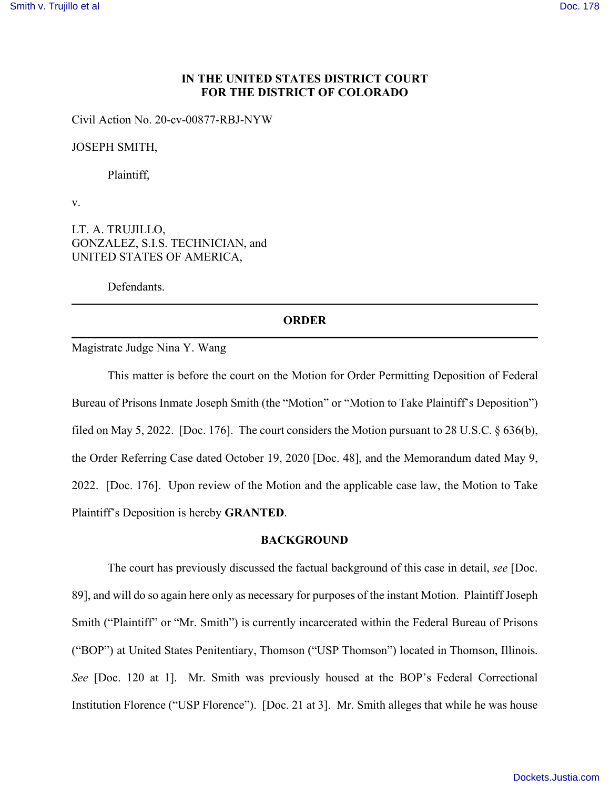# **IN THE UNITED STATES DISTRICT COURT FOR THE DISTRICT OF COLORADO**

Civil Action No. 20-cv-00877-RBJ-NYW

JOSEPH SMITH,

Plaintiff,

v.

LT. A. TRUJILLO, GONZALEZ, S.I.S. TECHNICIAN, and UNITED STATES OF AMERICA,

Defendants.

### **ORDER**

Magistrate Judge Nina Y. Wang

This matter is before the court on the Motion for Order Permitting Deposition of Federal Bureau of Prisons Inmate Joseph Smith (the "Motion" or "Motion to Take Plaintiff's Deposition") filed on May 5, 2022. [Doc. 176]. The court considers the Motion pursuant to 28 U.S.C. § 636(b), the Order Referring Case dated October 19, 2020 [Doc. 48], and the Memorandum dated May 9, 2022. [Doc. 176]. Upon review of the Motion and the applicable case law, the Motion to Take Plaintiff's Deposition is hereby **GRANTED**.

### **BACKGROUND**

The court has previously discussed the factual background of this case in detail, *see* [Doc. 89], and will do so again here only as necessary for purposes of the instant Motion. Plaintiff Joseph Smith ("Plaintiff" or "Mr. Smith") is currently incarcerated within the Federal Bureau of Prisons ("BOP") at United States Penitentiary, Thomson ("USP Thomson") located in Thomson, Illinois. *See* [Doc. 120 at 1]. Mr. Smith was previously housed at the BOP's Federal Correctional Institution Florence ("USP Florence"). [Doc. 21 at 3]. Mr. Smith alleges that while he was house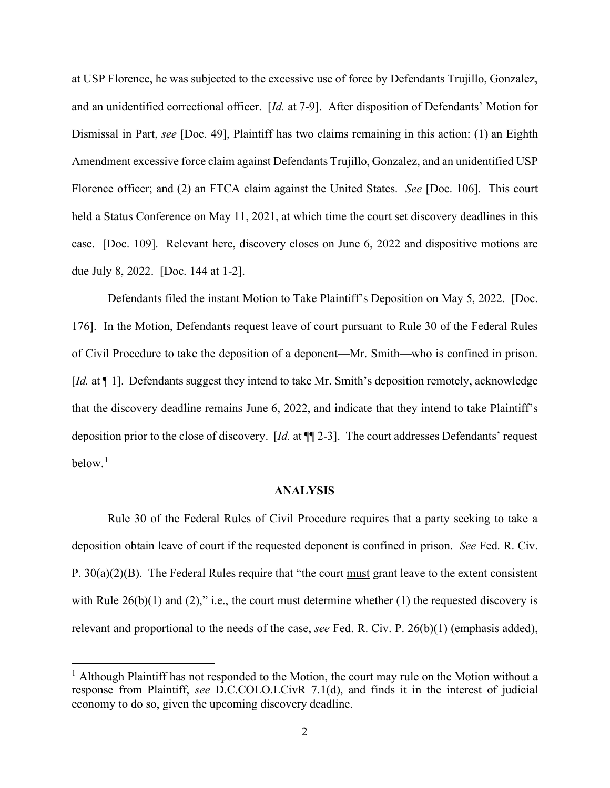at USP Florence, he was subjected to the excessive use of force by Defendants Trujillo, Gonzalez, and an unidentified correctional officer. [*Id.* at 7-9]. After disposition of Defendants' Motion for Dismissal in Part, *see* [Doc. 49], Plaintiff has two claims remaining in this action: (1) an Eighth Amendment excessive force claim against Defendants Trujillo, Gonzalez, and an unidentified USP Florence officer; and (2) an FTCA claim against the United States. *See* [Doc. 106]. This court held a Status Conference on May 11, 2021, at which time the court set discovery deadlines in this case. [Doc. 109]. Relevant here, discovery closes on June 6, 2022 and dispositive motions are due July 8, 2022. [Doc. 144 at 1-2].

Defendants filed the instant Motion to Take Plaintiff's Deposition on May 5, 2022. [Doc. 176]. In the Motion, Defendants request leave of court pursuant to Rule 30 of the Federal Rules of Civil Procedure to take the deposition of a deponent—Mr. Smith—who is confined in prison. [*Id.* at  $\P$  1]. Defendants suggest they intend to take Mr. Smith's deposition remotely, acknowledge that the discovery deadline remains June 6, 2022, and indicate that they intend to take Plaintiff's deposition prior to the close of discovery. [*Id.* at ¶¶ 2-3]. The court addresses Defendants' request  $below<sup>1</sup>$  $below<sup>1</sup>$  $below<sup>1</sup>$ 

#### **ANALYSIS**

Rule 30 of the Federal Rules of Civil Procedure requires that a party seeking to take a deposition obtain leave of court if the requested deponent is confined in prison. *See* Fed. R. Civ. P.  $30(a)(2)(B)$ . The Federal Rules require that "the court must grant leave to the extent consistent" with Rule  $26(b)(1)$  and  $(2)$ ," i.e., the court must determine whether  $(1)$  the requested discovery is relevant and proportional to the needs of the case, *see* Fed. R. Civ. P. 26(b)(1) (emphasis added),

<span id="page-1-0"></span> $<sup>1</sup>$  Although Plaintiff has not responded to the Motion, the court may rule on the Motion without a</sup> response from Plaintiff, *see* D.C.COLO.LCivR 7.1(d), and finds it in the interest of judicial economy to do so, given the upcoming discovery deadline.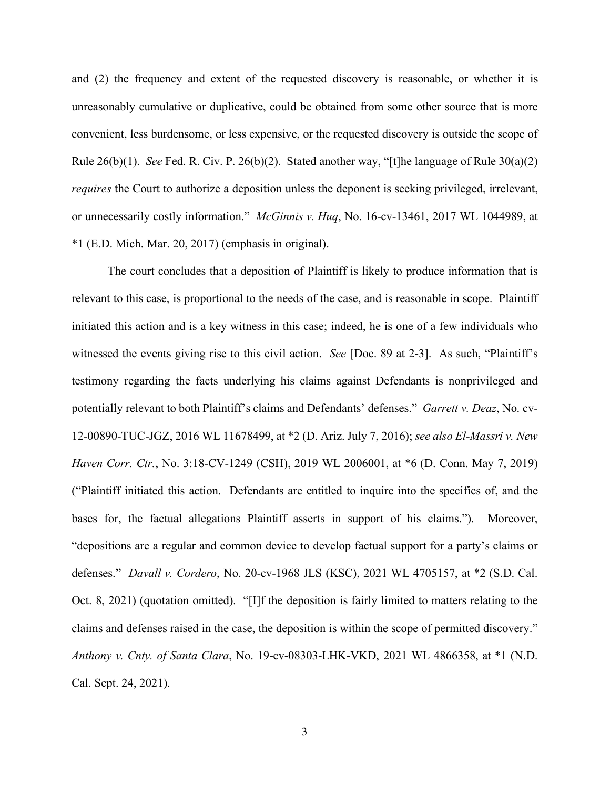and (2) the frequency and extent of the requested discovery is reasonable, or whether it is unreasonably cumulative or duplicative, could be obtained from some other source that is more convenient, less burdensome, or less expensive, or the requested discovery is outside the scope of Rule  $26(b)(1)$ . *See* Fed. R. Civ. P.  $26(b)(2)$ . Stated another way, "[t]he language of Rule  $30(a)(2)$ *requires* the Court to authorize a deposition unless the deponent is seeking privileged, irrelevant, or unnecessarily costly information." *McGinnis v. Huq*, No. 16-cv-13461, 2017 WL 1044989, at \*1 (E.D. Mich. Mar. 20, 2017) (emphasis in original).

The court concludes that a deposition of Plaintiff is likely to produce information that is relevant to this case, is proportional to the needs of the case, and is reasonable in scope. Plaintiff initiated this action and is a key witness in this case; indeed, he is one of a few individuals who witnessed the events giving rise to this civil action. *See* [Doc. 89 at 2-3]. As such, "Plaintiff's testimony regarding the facts underlying his claims against Defendants is nonprivileged and potentially relevant to both Plaintiff's claims and Defendants' defenses." *Garrett v. Deaz*, No. cv-12-00890-TUC-JGZ, 2016 WL 11678499, at \*2 (D. Ariz. July 7, 2016); *see also El-Massri v. New Haven Corr. Ctr.*, No. 3:18-CV-1249 (CSH), 2019 WL 2006001, at \*6 (D. Conn. May 7, 2019) ("Plaintiff initiated this action. Defendants are entitled to inquire into the specifics of, and the bases for, the factual allegations Plaintiff asserts in support of his claims."). Moreover, "depositions are a regular and common device to develop factual support for a party's claims or defenses." *Davall v. Cordero*, No. 20-cv-1968 JLS (KSC), 2021 WL 4705157, at \*2 (S.D. Cal. Oct. 8, 2021) (quotation omitted). "[I]f the deposition is fairly limited to matters relating to the claims and defenses raised in the case, the deposition is within the scope of permitted discovery." *Anthony v. Cnty. of Santa Clara*, No. 19-cv-08303-LHK-VKD, 2021 WL 4866358, at \*1 (N.D. Cal. Sept. 24, 2021).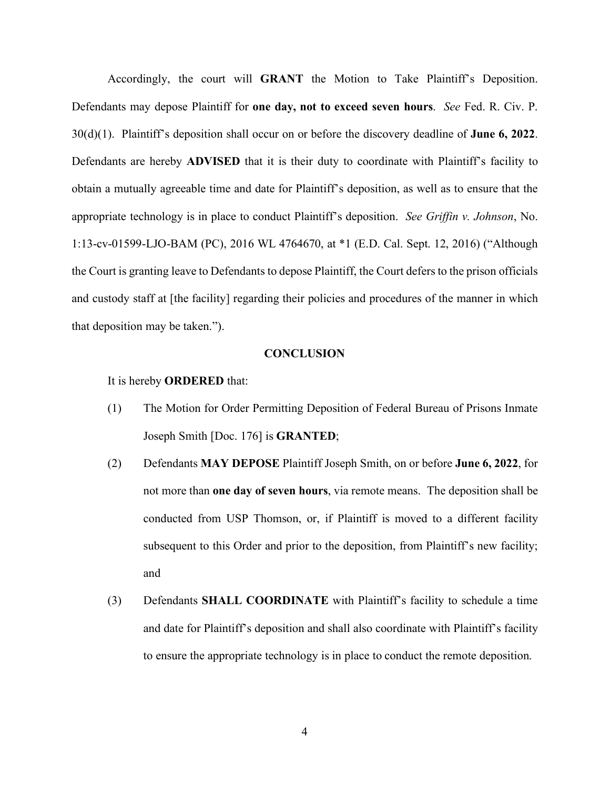Accordingly, the court will **GRANT** the Motion to Take Plaintiff's Deposition. Defendants may depose Plaintiff for **one day, not to exceed seven hours**. *See* Fed. R. Civ. P. 30(d)(1). Plaintiff's deposition shall occur on or before the discovery deadline of **June 6, 2022**. Defendants are hereby **ADVISED** that it is their duty to coordinate with Plaintiff's facility to obtain a mutually agreeable time and date for Plaintiff's deposition, as well as to ensure that the appropriate technology is in place to conduct Plaintiff's deposition. *See Griffin v. Johnson*, No. 1:13-cv-01599-LJO-BAM (PC), 2016 WL 4764670, at \*1 (E.D. Cal. Sept. 12, 2016) ("Although the Court is granting leave to Defendants to depose Plaintiff, the Court defers to the prison officials and custody staff at [the facility] regarding their policies and procedures of the manner in which that deposition may be taken.").

# **CONCLUSION**

It is hereby **ORDERED** that:

- (1) The Motion for Order Permitting Deposition of Federal Bureau of Prisons Inmate Joseph Smith [Doc. 176] is **GRANTED**;
- (2) Defendants **MAY DEPOSE** Plaintiff Joseph Smith, on or before **June 6, 2022**, for not more than **one day of seven hours**, via remote means. The deposition shall be conducted from USP Thomson, or, if Plaintiff is moved to a different facility subsequent to this Order and prior to the deposition, from Plaintiff's new facility; and
- (3) Defendants **SHALL COORDINATE** with Plaintiff's facility to schedule a time and date for Plaintiff's deposition and shall also coordinate with Plaintiff's facility to ensure the appropriate technology is in place to conduct the remote deposition.